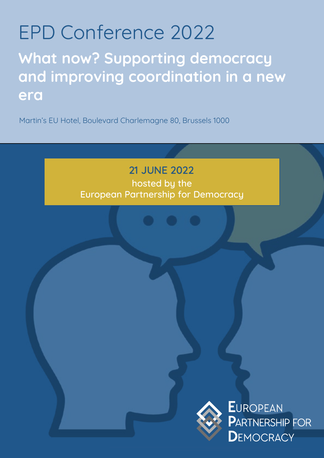# EPD Conference 2022

**What now? Supporting democracy and improving coordination in a new era**

Martin's EU Hotel, Boulevard Charlemagne 80, Brussels 1000

### 21 JUNE 2022

hosted by the European Partnership for Democracy



**EUROPEAN PARTNERSHIP FOR DEMOCRACY**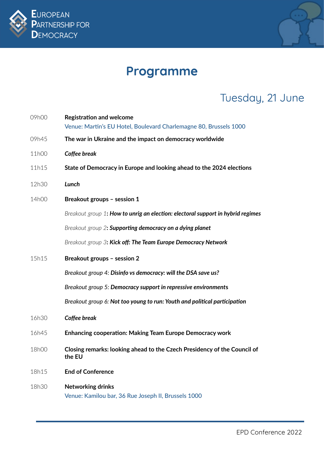



# **Programme**

# Tuesday, 21 June

| 09h00 | <b>Registration and welcome</b><br>Venue: Martin's EU Hotel, Boulevard Charlemagne 80, Brussels 1000 |
|-------|------------------------------------------------------------------------------------------------------|
| 09h45 | The war in Ukraine and the impact on democracy worldwide                                             |
| 11h00 | Coffee break                                                                                         |
| 11h15 | State of Democracy in Europe and looking ahead to the 2024 elections                                 |
| 12h30 | Lunch                                                                                                |
| 14h00 | Breakout groups - session 1                                                                          |
|       | Breakout group 1: How to unrig an election: electoral support in hybrid regimes                      |
|       | Breakout group 2: Supporting democracy on a dying planet                                             |
|       | Breakout group 3: Kick off: The Team Europe Democracy Network                                        |
| 15h15 | Breakout groups - session 2                                                                          |
|       | Breakout group 4: Disinfo vs democracy: will the DSA save us?                                        |
|       | Breakout group 5: Democracy support in repressive environments                                       |
|       | Breakout group 6: Not too young to run: Youth and political participation                            |
| 16h30 | Coffee break                                                                                         |
| 16h45 | <b>Enhancing cooperation: Making Team Europe Democracy work</b>                                      |
| 18h00 | Closing remarks: looking ahead to the Czech Presidency of the Council of<br>the EU                   |
| 18h15 | <b>End of Conference</b>                                                                             |
| 18h30 | Networking drinks<br>Venue: Kamilou bar, 36 Rue Joseph II, Brussels 1000                             |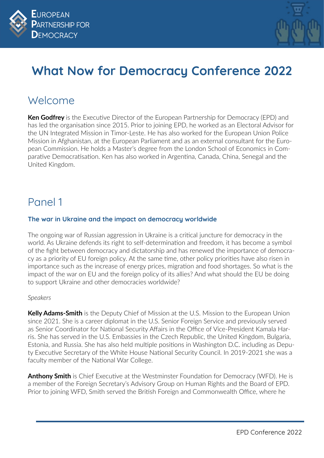



# **What Now for Democracy Conference 2022**

### Welcome

**Ken Godfrey** is the Executive Director of the European Partnership for Democracy (EPD) and has led the organisation since 2015. Prior to joining EPD, he worked as an Electoral Advisor for the UN Integrated Mission in Timor-Leste. He has also worked for the European Union Police Mission in Afghanistan, at the European Parliament and as an external consultant for the European Commission. He holds a Master's degree from the London School of Economics in Comparative Democratisation. Ken has also worked in Argentina, Canada, China, Senegal and the United Kingdom.

### Panel 1

### **The war in Ukraine and the impact on democracy worldwide**

The ongoing war of Russian aggression in Ukraine is a critical juncture for democracy in the world. As Ukraine defends its right to self-determination and freedom, it has become a symbol of the fight between democracy and dictatorship and has renewed the importance of democracy as a priority of EU foreign policy. At the same time, other policy priorities have also risen in importance such as the increase of energy prices, migration and food shortages. So what is the impact of the war on EU and the foreign policy of its allies? And what should the EU be doing to support Ukraine and other democracies worldwide?

### *Speakers*

**Kelly Adams-Smith** is the Deputy Chief of Mission at the U.S. Mission to the European Union since 2021. She is a career diplomat in the U.S. Senior Foreign Service and previously served as Senior Coordinator for National Security Affairs in the Office of Vice-President Kamala Harris. She has served in the U.S. Embassies in the Czech Republic, the United Kingdom, Bulgaria, Estonia, and Russia. She has also held multiple positions in Washington D.C. including as Deputy Executive Secretary of the White House National Security Council. In 2019-2021 she was a faculty member of the National War College.

**Anthony Smith** is Chief Executive at the Westminster Foundation for Democracy (WFD). He is a member of the Foreign Secretary's Advisory Group on Human Rights and the Board of EPD. Prior to joining WFD, Smith served the British Foreign and Commonwealth Office, where he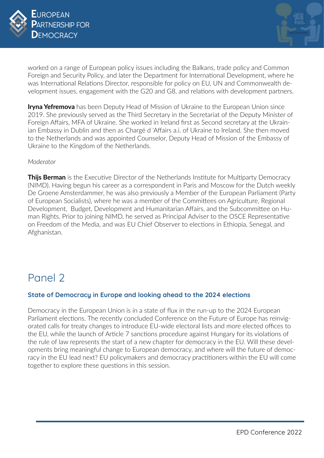



worked on a range of European policy issues including the Balkans, trade policy and Common Foreign and Security Policy, and later the Department for International Development, where he was International Relations Director, responsible for policy on EU, UN and Commonwealth development issues, engagement with the G20 and G8, and relations with development partners.

**Iryna Yefremova** has been Deputy Head of Mission of Ukraine to the European Union since 2019. She previously served as the Third Secretary in the Secretariat of the Deputy Minister of Foreign Affairs, MFA of Ukraine. She worked in Ireland first as Second secretary at the Ukrainian Embassy in Dublin and then as Chargé d 'Affairs a.i. of Ukraine to Ireland. She then moved to the Netherlands and was appointed Counselor, Deputy Head of Mission of the Embassy of Ukraine to the Kingdom of the Netherlands.

#### *Moderator*

**Thijs Berman** is the Executive Director of the Netherlands Institute for Multiparty Democracy (NIMD). Having begun his career as a correspondent in Paris and Moscow for the Dutch weekly De Groene Amsterdammer, he was also previously a Member of the European Parliament (Party of European Socialists), where he was a member of the Committees on Agriculture, Regional Development, Budget, Development and Humanitarian Affairs, and the Subcommittee on Human Rights. Prior to joining NIMD, he served as Principal Adviser to the OSCE Representative on Freedom of the Media, and was EU Chief Observer to elections in Ethiopia, Senegal, and Afghanistan.

### Panel 2

### **State of Democracy in Europe and looking ahead to the 2024 elections**

Democracy in the European Union is in a state of flux in the run-up to the 2024 European Parliament elections. The recently concluded Conference on the Future of Europe has reinvigorated calls for treaty changes to introduce EU-wide electoral lists and more elected offices to the EU, while the launch of Article 7 sanctions procedure against Hungary for its violations of the rule of law represents the start of a new chapter for democracy in the EU. Will these developments bring meaningful change to European democracy, and where will the future of democracy in the EU lead next? EU policymakers and democracy practitioners within the EU will come together to explore these questions in this session.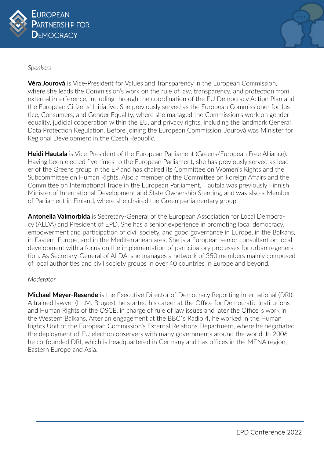



#### *Speakers*

**Věra Jourová** is Vice-President for Values and Transparency in the European Commission, where she leads the Commission's work on the rule of law, transparency, and protection from external interference, including through the coordination of the EU Democracy Action Plan and the European Citizens' Initiative. She previously served as the European Commissioner for Justice, Consumers, and Gender Equality, where she managed the Commission's work on gender equality, judicial cooperation within the EU, and privacy rights, including the landmark General Data Protection Regulation. Before joining the European Commission, Jourová was Minister for Regional Development in the Czech Republic.

**Heidi Hautala** is Vice-President of the European Parliament (Greens/European Free Alliance). Having been elected five times to the European Parliament, she has previously served as leader of the Greens group in the EP and has chaired its Committee on Women's Rights and the Subcommittee on Human Rights. Also a member of the Committee on Foreign Affairs and the Committee on International Trade in the European Parliament, Hautala was previously Finnish Minister of International Development and State Ownership Steering, and was also a Member of Parliament in Finland, where she chaired the Green parliamentary group.

**Antonella Valmorbida** is Secretary-General of the European Association for Local Democracy (ALDA) and President of EPD. She has a senior experience in promoting local democracy, empowerment and participation of civil society, and good governance in Europe, in the Balkans, in Eastern Europe, and in the Mediterranean area. She is a European senior consultant on local development with a focus on the implementation of participatory processes for urban regeneration. As Secretary-General of ALDA, she manages a network of 350 members mainly composed of local authorities and civil society groups in over 40 countries in Europe and beyond.

### *Moderator*

**Michael Meyer-Resende** is the Executive Director of Democracy Reporting International (DRI). A trained lawyer (LL.M. Bruges), he started his career at the Office for Democratic Institutions and Human Rights of the OSCE, in charge of rule of law issues and later the Office´s work in the Western Balkans. After an engagement at the BBC`s Radio 4, he worked in the Human Rights Unit of the European Commission's External Relations Department, where he negotiated the deployment of EU election observers with many governments around the world. In 2006 he co-founded DRI, which is headquartered in Germany and has offices in the MENA region, Eastern Europe and Asia.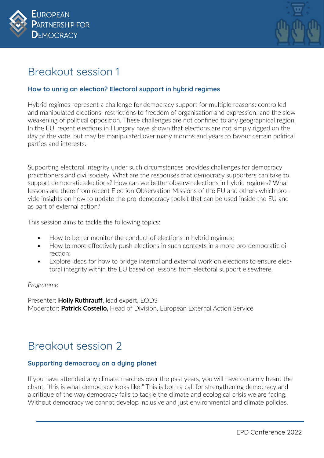



### Breakout session 1

### **How to unrig an election? Electoral support in hybrid regimes**

Hybrid regimes represent a challenge for democracy support for multiple reasons: controlled and manipulated elections; restrictions to freedom of organisation and expression; and the slow weakening of political opposition. These challenges are not confined to any geographical region. In the EU, recent elections in Hungary have shown that elections are not simply rigged on the day of the vote, but may be manipulated over many months and years to favour certain political parties and interests.

Supporting electoral integrity under such circumstances provides challenges for democracy practitioners and civil society. What are the responses that democracy supporters can take to support democratic elections? How can we better observe elections in hybrid regimes? What lessons are there from recent Election Observation Missions of the EU and others which provide insights on how to update the pro-democracy toolkit that can be used inside the EU and as part of external action?

This session aims to tackle the following topics:

- How to better monitor the conduct of elections in hybrid regimes;
- How to more effectively push elections in such contexts in a more pro-democratic direction;
- Explore ideas for how to bridge internal and external work on elections to ensure electoral integrity within the EU based on lessons from electoral support elsewhere.

### *Programme*

Presenter: **Holly Ruthrauff**, lead expert, EODS Moderator: **Patrick Costello,** Head of Division, European External Action Service

### Breakout session 2

### **Supporting democracy on a dying planet**

If you have attended any climate marches over the past years, you will have certainly heard the chant, "this is what democracy looks like!" This is both a call for strengthening democracy and a critique of the way democracy fails to tackle the climate and ecological crisis we are facing. Without democracy we cannot develop inclusive and just environmental and climate policies,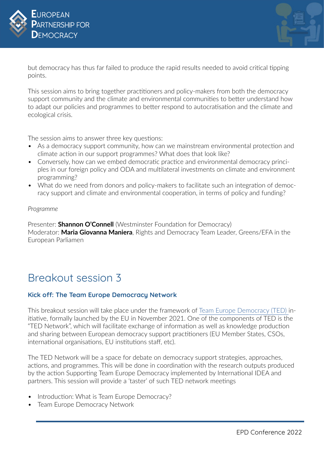



but democracy has thus far failed to produce the rapid results needed to avoid critical tipping points.

This session aims to bring together practitioners and policy-makers from both the democracy support community and the climate and environmental communities to better understand how to adapt our policies and programmes to better respond to autocratisation and the climate and ecological crisis.

The session aims to answer three key questions:

- As a democracy support community, how can we mainstream environmental protection and climate action in our support programmes? What does that look like?
- Conversely, how can we embed democratic practice and environmental democracy principles in our foreign policy and ODA and multilateral investments on climate and environment programming?
- What do we need from donors and policy-makers to facilitate such an integration of democracy support and climate and environmental cooperation, in terms of policy and funding?

#### *Programme*

Presenter: **Shannon O'Connell** (Westminster Foundation for Democracy) Moderator: **Maria Giovanna Maniera**, Rights and Democracy Team Leader, Greens/EFA in the European Parliamen

### Breakout session 3

### **Kick off: The Team Europe Democracy Network**

This breakout session will take place under the framework of [Team Europe Democracy \(TED\)](https://ec.europa.eu/international-partnerships/news/european-union-launches-global-team-europe-democracy-initiative_en) initiative, formally launched by the EU in November 2021. One of the components of TED is the "TED Network", which will facilitate exchange of information as well as knowledge production and sharing between European democracy support practitioners (EU Member States, CSOs, international organisations, EU institutions staff, etc).

The TED Network will be a space for debate on democracy support strategies, approaches, actions, and programmes. This will be done in coordination with the research outputs produced by the action Supporting Team Europe Democracy implemented by International IDEA and partners. This session will provide a 'taster' of such TED network meetings

- Introduction: What is Team Europe Democracy?
- Team Europe Democracy Network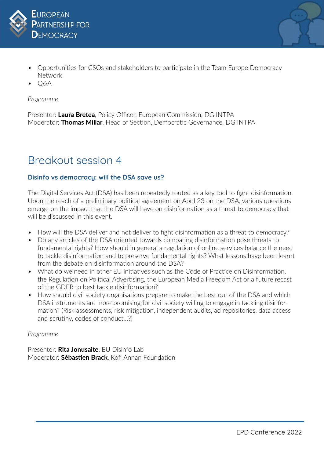



- Opportunities for CSOs and stakeholders to participate in the Team Europe Democracy Network
- Q&A

#### *Programme*

Presenter: **Laura Bretea**, Policy Officer, European Commission, DG INTPA Moderator: **Thomas Millar**, Head of Section, Democratic Governance, DG INTPA

### Breakout session 4

### **Disinfo vs democracy: will the DSA save us?**

The Digital Services Act (DSA) has been repeatedly touted as a key tool to fight disinformation. Upon the reach of a preliminary political agreement on April 23 on the DSA, various questions emerge on the impact that the DSA will have on disinformation as a threat to democracy that will be discussed in this event.

- How will the DSA deliver and not deliver to fight disinformation as a threat to democracy?
- Do any articles of the DSA oriented towards combating disinformation pose threats to fundamental rights? How should in general a regulation of online services balance the need to tackle disinformation and to preserve fundamental rights? What lessons have been learnt from the debate on disinformation around the DSA?
- What do we need in other FU initiatives such as the Code of Practice on Disinformation, the Regulation on Political Advertising, the European Media Freedom Act or a future recast of the GDPR to best tackle disinformation?
- How should civil society organisations prepare to make the best out of the DSA and which DSA instruments are more promising for civil society willing to engage in tackling disinformation? (Risk assessments, risk mitigation, independent audits, ad repositories, data access and scrutiny, codes of conduct…?)

#### *Programme*

Presenter: **Rita Jonusaite**, EU Disinfo Lab Moderator: **Sébastien Brack**, Kofi Annan Foundation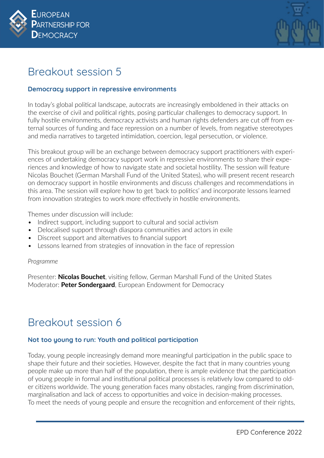



### Breakout session 5

### **Democracy support in repressive environments**

In today's global political landscape, autocrats are increasingly emboldened in their attacks on the exercise of civil and political rights, posing particular challenges to democracy support. In fully hostile environments, democracy activists and human rights defenders are cut off from external sources of funding and face repression on a number of levels, from negative stereotypes and media narratives to targeted intimidation, coercion, legal persecution, or violence.

This breakout group will be an exchange between democracy support practitioners with experiences of undertaking democracy support work in repressive environments to share their experiences and knowledge of how to navigate state and societal hostility. The session will feature Nicolas Bouchet (German Marshall Fund of the United States), who will present recent research on democracy support in hostile environments and discuss challenges and recommendations in this area. The session will explore how to get 'back to politics' and incorporate lessons learned from innovation strategies to work more effectively in hostile environments.

Themes under discussion will include:

- Indirect support, including support to cultural and social activism
- Delocalised support through diaspora communities and actors in exile
- Discreet support and alternatives to financial support
- Lessons learned from strategies of innovation in the face of repression

#### *Programme*

Presenter: **Nicolas Bouchet**, visiting fellow, German Marshall Fund of the United States Moderator: **Peter Sondergaard**, European Endowment for Democracy

### Breakout session 6

### **Not too young to run: Youth and political participation**

Today, young people increasingly demand more meaningful participation in the public space to shape their future and their societies. However, despite the fact that in many countries young people make up more than half of the population, there is ample evidence that the participation of young people in formal and institutional political processes is relatively low compared to older citizens worldwide. The young generation faces many obstacles, ranging from discrimination, marginalisation and lack of access to opportunities and voice in decision-making processes. To meet the needs of young people and ensure the recognition and enforcement of their rights,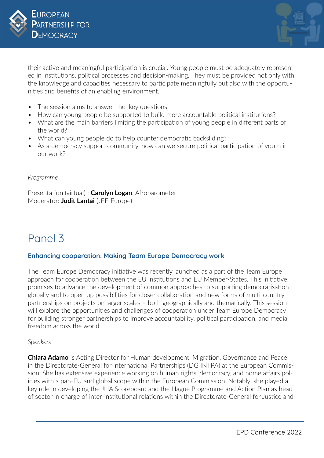



their active and meaningful participation is crucial. Young people must be adequately represented in institutions, political processes and decision-making. They must be provided not only with the knowledge and capacities necessary to participate meaningfully but also with the opportunities and benefits of an enabling environment.

- The session aims to answer the key questions:
- How can young people be supported to build more accountable political institutions?
- What are the main barriers limiting the participation of young people in different parts of the world?
- What can young people do to help counter democratic backsliding?
- As a democracy support community, how can we secure political participation of youth in our work?

#### *Programme*

Presentation (virtual) : **Carolyn Logan**, Afrobarometer Moderator: **Judit Lantai** (JEF-Europe)

### Panel 3

### **Enhancing cooperation: Making Team Europe Democracy work**

The Team Europe Democracy initiative was recently launched as a part of the Team Europe approach for cooperation between the EU institutions and EU Member-States. This initiative promises to advance the development of common approaches to supporting democratisation globally and to open up possibilities for closer collaboration and new forms of multi-country partnerships on projects on larger scales – both geographically and thematically. This session will explore the opportunities and challenges of cooperation under Team Europe Democracy for building stronger partnerships to improve accountability, political participation, and media freedom across the world.

#### *Speakers*

**Chiara Adamo** is Acting Director for Human development, Migration, Governance and Peace in the Directorate-General for International Partnerships (DG INTPA) at the European Commission. She has extensive experience working on human rights, democracy, and home affairs policies with a pan-EU and global scope within the European Commission. Notably, she played a key role in developing the JHA Scoreboard and the Hague Programme and Action Plan as head of sector in charge of inter-institutional relations within the Directorate-General for Justice and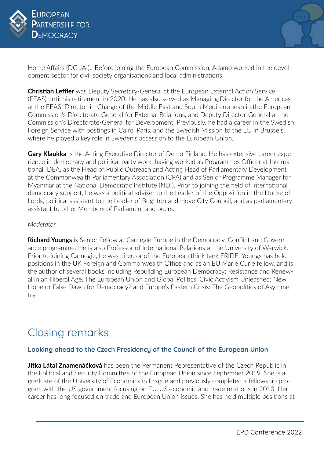



Home Affairs (DG JAI). Before joining the European Commission, Adamo worked in the development sector for civil society organisations and local administrations.

**Christian Leffler** was Deputy Secretary-General at the European External Action Service (EEAS) until his retirement in 2020. He has also served as Managing Director for the Americas at the EEAS, Director-in-Charge of the Middle East and South Mediterranean in the European Commission's Directorate General for External Relations, and Deputy Director-General at the Commission's Directorate-General for Development. Previously, he had a career in the Swedish Foreign Service with postings in Cairo, Paris, and the Swedish Mission to the EU in Brussels, where he played a key role in Sweden's accession to the European Union.

**Gary Klaukka** is the Acting Executive Director of Demo Finland. He has extensive career experience in democracy and political party work, having worked as Programmes Officer at International IDEA, as the Head of Public Outreach and Acting Head of Parliamentary Development at the Commonwealth Parliamentary Association (CPA) and as Senior Programme Manager for Myanmar at the National Democratic Institute (NDI). Prior to joining the field of international democracy support, he was a political adviser to the Leader of the Opposition in the House of Lords, political assistant to the Leader of Brighton and Hove City Council, and as parliamentary assistant to other Members of Parliament and peers.

#### *Moderator*

**Richard Youngs** is Senior Fellow at Carnegie Europe in the Democracy, Conflict and Governance programme. He is also Professor of International Relations at the University of Warwick. Prior to joining Carnegie, he was director of the European think tank FRIDE. Youngs has held positions in the UK Foreign and Commonwealth Office and as an EU Marie Curie fellow, and is the author of several books including Rebuilding European Democracy: Resistance and Renewal in an Illiberal Age, The European Union and Global Politics, Civic Activism Unleashed: New Hope or False Dawn for Democracy? and Europe's Eastern Crisis: The Geopolitics of Asymmetry.

### Closing remarks

### **Looking ahead to the Czech Presidency of the Council of the European Union**

**Jitka Látal Znamenáčková** has been the Permanent Representative of the Czech Republic in the Political and Security Committee of the European Union since September 2019. She is a graduate of the University of Economics in Prague and previously completed a fellowship program with the US government focusing on EU-US economic and trade relations in 2013. Her career has long focused on trade and European Union issues. She has held multiple positions at